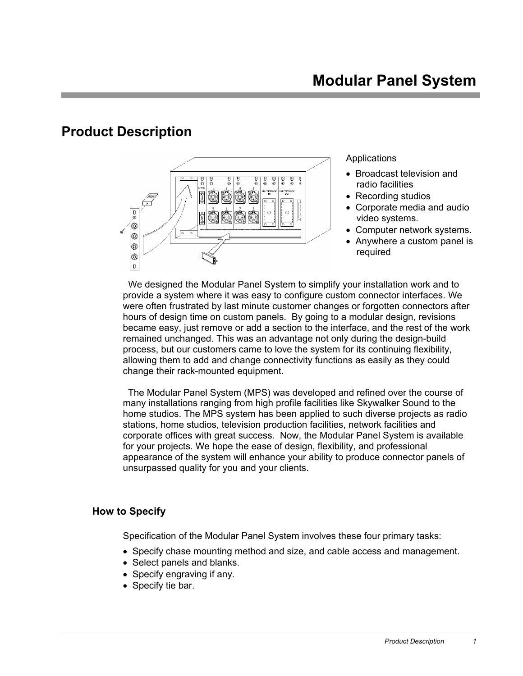# **Product Description**



### **Applications**

- Broadcast television and radio facilities
- Recording studios
- Corporate media and audio video systems.
- Computer network systems.
- Anywhere a custom panel is required

 We designed the Modular Panel System to simplify your installation work and to provide a system where it was easy to configure custom connector interfaces. We were often frustrated by last minute customer changes or forgotten connectors after hours of design time on custom panels. By going to a modular design, revisions became easy, just remove or add a section to the interface, and the rest of the work remained unchanged. This was an advantage not only during the design-build process, but our customers came to love the system for its continuing flexibility, allowing them to add and change connectivity functions as easily as they could change their rack-mounted equipment.

The Modular Panel System (MPS) was developed and refined over the course of many installations ranging from high profile facilities like Skywalker Sound to the home studios. The MPS system has been applied to such diverse projects as radio stations, home studios, television production facilities, network facilities and corporate offices with great success. Now, the Modular Panel System is available for your projects. We hope the ease of design, flexibility, and professional appearance of the system will enhance your ability to produce connector panels of unsurpassed quality for you and your clients.

# **How to Specify**

Specification of the Modular Panel System involves these four primary tasks:

- Specify chase mounting method and size, and cable access and management.
- Select panels and blanks.
- Specify engraving if any.
- Specify tie bar.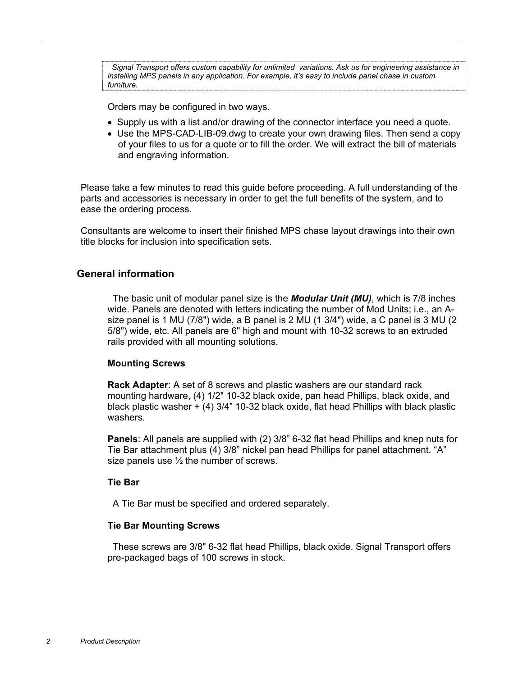*Signal Transport offers custom capability for unlimited variations. Ask us for engineering assistance in installing MPS panels in any application. For example, it's easy to include panel chase in custom furniture.* 

Orders may be configured in two ways.

- Supply us with a list and/or drawing of the connector interface you need a quote.
- Use the MPS-CAD-LIB-09.dwg to create your own drawing files. Then send a copy of your files to us for a quote or to fill the order. We will extract the bill of materials and engraving information.

Please take a few minutes to read this guide before proceeding. A full understanding of the parts and accessories is necessary in order to get the full benefits of the system, and to ease the ordering process.

Consultants are welcome to insert their finished MPS chase layout drawings into their own title blocks for inclusion into specification sets.

### **General information**

The basic unit of modular panel size is the *Modular Unit (MU)*, which is 7/8 inches wide. Panels are denoted with letters indicating the number of Mod Units; i.e., an Asize panel is 1 MU (7/8") wide, a B panel is 2 MU (1 3/4") wide, a C panel is 3 MU (2 5/8") wide, etc. All panels are 6" high and mount with 10-32 screws to an extruded rails provided with all mounting solutions.

#### **Mounting Screws**

**Rack Adapter**: A set of 8 screws and plastic washers are our standard rack mounting hardware, (4) 1/2" 10-32 black oxide, pan head Phillips, black oxide, and black plastic washer + (4) 3/4" 10-32 black oxide, flat head Phillips with black plastic washers.

**Panels**: All panels are supplied with (2) 3/8" 6-32 flat head Phillips and knep nuts for Tie Bar attachment plus (4) 3/8" nickel pan head Phillips for panel attachment. "A" size panels use  $\frac{1}{2}$  the number of screws.

#### **Tie Bar**

A Tie Bar must be specified and ordered separately.

#### **Tie Bar Mounting Screws**

 These screws are 3/8" 6-32 flat head Phillips, black oxide. Signal Transport offers pre-packaged bags of 100 screws in stock.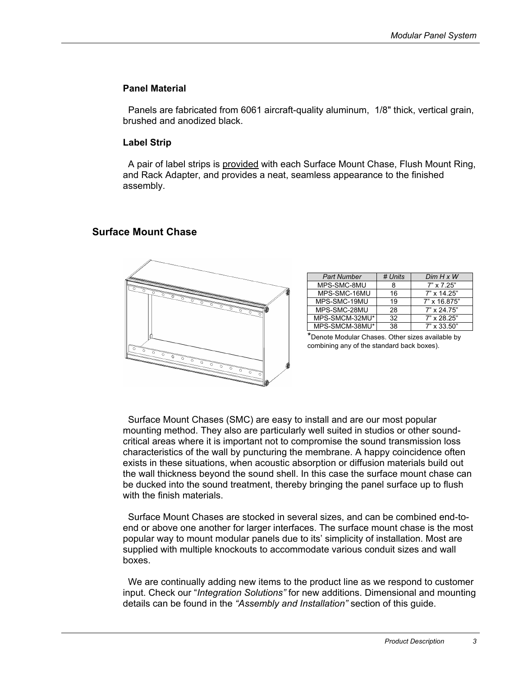#### **Panel Material**

 Panels are fabricated from 6061 aircraft-quality aluminum, 1/8" thick, vertical grain, brushed and anodized black.

#### **Label Strip**

A pair of label strips is provided with each Surface Mount Chase, Flush Mount Ring, and Rack Adapter, and provides a neat, seamless appearance to the finished assembly.

# **Surface Mount Chase**



| <b>Part Number</b> | # Units | $Dim H \times W$   |
|--------------------|---------|--------------------|
| MPS-SMC-8MU        | 8       | $7" \times 7' 25"$ |
| MPS-SMC-16MU       | 16      | $7" \times 14.25"$ |
| MPS-SMC-19MU       | 19      | 7" x 16.875"       |
| MPS-SMC-28MU       | 28      | $7" \times 24.75"$ |
| MPS-SMCM-32MU*     | 32      | 7" x 28.25"        |
| MPS-SMCM-38MU*     | 38      | $7" \times 33.50"$ |

\*Denote Modular Chases. Other sizes available by combining any of the standard back boxes).

Surface Mount Chases (SMC) are easy to install and are our most popular mounting method. They also are particularly well suited in studios or other soundcritical areas where it is important not to compromise the sound transmission loss characteristics of the wall by puncturing the membrane. A happy coincidence often exists in these situations, when acoustic absorption or diffusion materials build out the wall thickness beyond the sound shell. In this case the surface mount chase can be ducked into the sound treatment, thereby bringing the panel surface up to flush with the finish materials.

Surface Mount Chases are stocked in several sizes, and can be combined end-toend or above one another for larger interfaces. The surface mount chase is the most popular way to mount modular panels due to its' simplicity of installation. Most are supplied with multiple knockouts to accommodate various conduit sizes and wall boxes.

We are continually adding new items to the product line as we respond to customer input. Check our "*Integration Solutions"* for new additions. Dimensional and mounting details can be found in the *"Assembly and Installation"* section of this guide.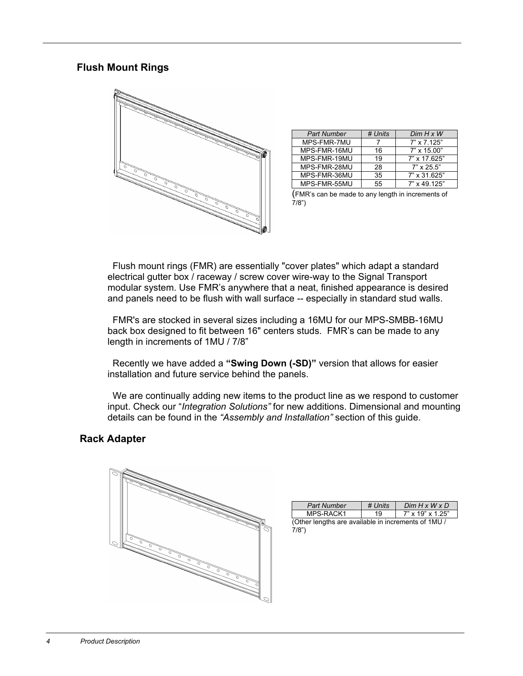# **Flush Mount Rings**



| <b>Part Number</b> | # Units | $Dim H \times W$   |
|--------------------|---------|--------------------|
| MPS-FMR-7MU        |         | $7" \times 7.125"$ |
| MPS-FMR-16MU       | 16      | 7" x 15.00"        |
| MPS-FMR-19MU       | 19      | 7" x 17.625"       |
| MPS-FMR-28MU       | 28      | $7" \times 25.5"$  |
| MPS-FMR-36MU       | 35      | 7" x 31.625"       |
| MPS-FMR-55MU       | 55      | $7"$ x 49 125"     |

<sup>(</sup>FMR's can be made to any length in increments of  $7/8$ ")

Flush mount rings (FMR) are essentially "cover plates" which adapt a standard electrical gutter box / raceway / screw cover wire-way to the Signal Transport modular system. Use FMR's anywhere that a neat, finished appearance is desired and panels need to be flush with wall surface -- especially in standard stud walls.

FMR's are stocked in several sizes including a 16MU for our MPS-SMBB-16MU back box designed to fit between 16" centers studs. FMR's can be made to any length in increments of 1MU / 7/8"

Recently we have added a **"Swing Down (-SD)"** version that allows for easier installation and future service behind the panels.

We are continually adding new items to the product line as we respond to customer input. Check our "*Integration Solutions"* for new additions. Dimensional and mounting details can be found in the *"Assembly and Installation"* section of this guide.

# **Rack Adapter**



| <b>Part Number</b>                                  | # Units | $Dim H \times W \times D$ |
|-----------------------------------------------------|---------|---------------------------|
| MPS-RACK1                                           | 19      | 7" x 19" x 1.25"          |
| (Other lengths are available in increments of 1MU / |         |                           |

 $7/8")$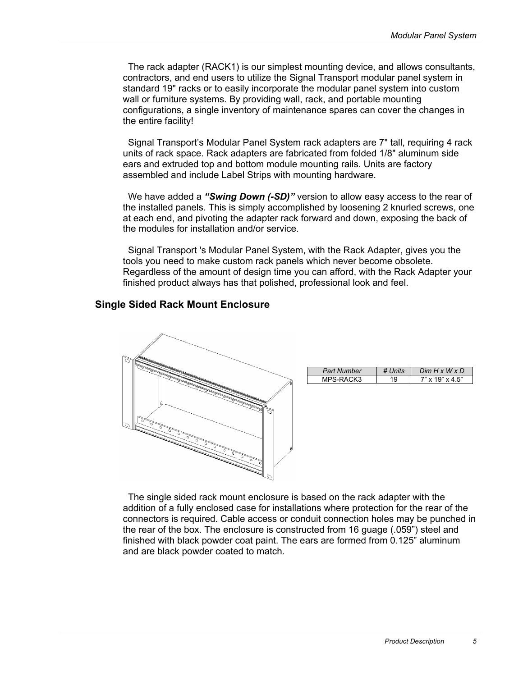The rack adapter (RACK1) is our simplest mounting device, and allows consultants, contractors, and end users to utilize the Signal Transport modular panel system in standard 19" racks or to easily incorporate the modular panel system into custom wall or furniture systems. By providing wall, rack, and portable mounting configurations, a single inventory of maintenance spares can cover the changes in the entire facility!

Signal Transport's Modular Panel System rack adapters are 7" tall, requiring 4 rack units of rack space. Rack adapters are fabricated from folded 1/8" aluminum side ears and extruded top and bottom module mounting rails. Units are factory assembled and include Label Strips with mounting hardware.

We have added a *"Swing Down (-SD)"* version to allow easy access to the rear of the installed panels. This is simply accomplished by loosening 2 knurled screws, one at each end, and pivoting the adapter rack forward and down, exposing the back of the modules for installation and/or service.

Signal Transport 's Modular Panel System, with the Rack Adapter, gives you the tools you need to make custom rack panels which never become obsolete. Regardless of the amount of design time you can afford, with the Rack Adapter your finished product always has that polished, professional look and feel.

# **Single Sided Rack Mount Enclosure**



| <b>Part Number</b> | $Dim H \times W \times D$ |
|--------------------|---------------------------|
| S-RACK3            | $\times$ 4.5"<br>. "19    |

The single sided rack mount enclosure is based on the rack adapter with the addition of a fully enclosed case for installations where protection for the rear of the connectors is required. Cable access or conduit connection holes may be punched in the rear of the box. The enclosure is constructed from 16 guage (.059") steel and finished with black powder coat paint. The ears are formed from 0.125" aluminum and are black powder coated to match.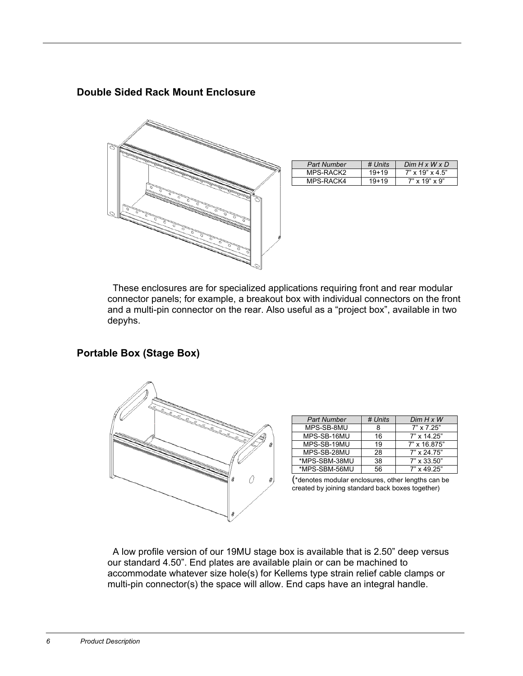# **Double Sided Rack Mount Enclosure**



| <b>Part Number</b> | # Units | $Dim H \times W \times D$   |
|--------------------|---------|-----------------------------|
| MPS-RACK2          | $19+19$ | $7" \times 19" \times 4.5"$ |
| MPS-RACK4          | $19+19$ | $7" \times 19" \times 9"$   |

 These enclosures are for specialized applications requiring front and rear modular connector panels; for example, a breakout box with individual connectors on the front and a multi-pin connector on the rear. Also useful as a "project box", available in two depyhs.

# **Portable Box (Stage Box)**



| <b>Part Number</b> | # Units | $Dim H \times W$   |
|--------------------|---------|--------------------|
| MPS-SB-8MU         |         | $7" \times 7.25"$  |
| MPS-SB-16MU        | 16      | $7" \times 14.25"$ |
| MPS-SB-19MU        | 19      | 7" x 16.875"       |
| MPS-SB-28MU        | 28      | $7" \times 24.75"$ |
| *MPS-SBM-38MU      | 38      | $7" \times 33.50"$ |
| *MPS-SBM-56MU      | 56      | $7" \times 49$ 25" |

(\*denotes modular enclosures, other lengths can be created by joining standard back boxes together)

 A low profile version of our 19MU stage box is available that is 2.50" deep versus our standard 4.50". End plates are available plain or can be machined to accommodate whatever size hole(s) for Kellems type strain relief cable clamps or multi-pin connector(s) the space will allow. End caps have an integral handle.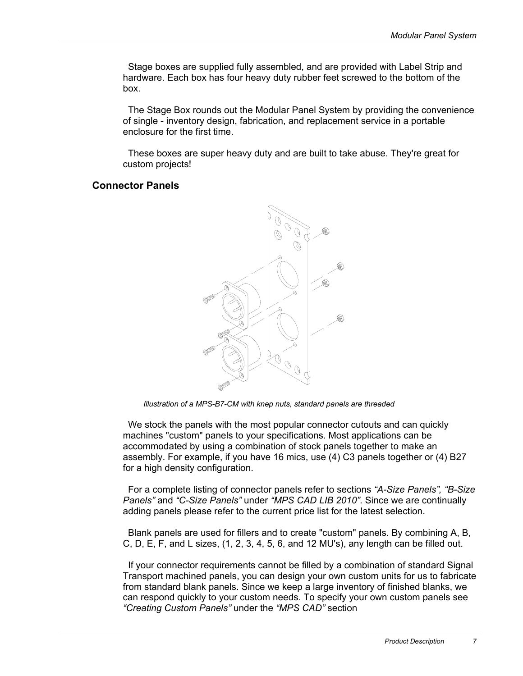Stage boxes are supplied fully assembled, and are provided with Label Strip and hardware. Each box has four heavy duty rubber feet screwed to the bottom of the box.

The Stage Box rounds out the Modular Panel System by providing the convenience of single - inventory design, fabrication, and replacement service in a portable enclosure for the first time.

These boxes are super heavy duty and are built to take abuse. They're great for custom projects!

#### **Connector Panels**



*Illustration of a MPS-B7-CM with knep nuts, standard panels are threaded* 

We stock the panels with the most popular connector cutouts and can quickly machines "custom" panels to your specifications. Most applications can be accommodated by using a combination of stock panels together to make an assembly. For example, if you have 16 mics, use (4) C3 panels together or (4) B27 for a high density configuration.

For a complete listing of connector panels refer to sections *"A-Size Panels", "B-Size Panels"* and *"C-Size Panels"* under *"MPS CAD LIB 2010"*. Since we are continually adding panels please refer to the current price list for the latest selection.

Blank panels are used for fillers and to create "custom" panels. By combining A, B, C, D, E, F, and L sizes, (1, 2, 3, 4, 5, 6, and 12 MU's), any length can be filled out.

If your connector requirements cannot be filled by a combination of standard Signal Transport machined panels, you can design your own custom units for us to fabricate from standard blank panels. Since we keep a large inventory of finished blanks, we can respond quickly to your custom needs. To specify your own custom panels see *"Creating Custom Panels"* under the *"MPS CAD"* section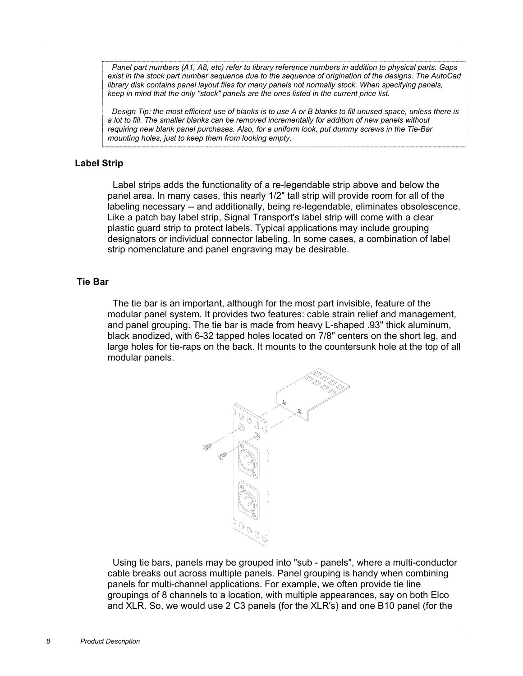*Panel part numbers (A1, A8, etc) refer to library reference numbers in addition to physical parts. Gaps exist in the stock part number sequence due to the sequence of origination of the designs. The AutoCad library disk contains panel layout files for many panels not normally stock. When specifying panels, keep in mind that the only "stock" panels are the ones listed in the current price list.* 

 *Design Tip: the most efficient use of blanks is to use A or B blanks to fill unused space, unless there is a lot to fill. The smaller blanks can be removed incrementally for addition of new panels without requiring new blank panel purchases. Also, for a uniform look, put dummy screws in the Tie-Bar mounting holes, just to keep them from looking empty.* 

### **Label Strip**

 Label strips adds the functionality of a re-legendable strip above and below the panel area. In many cases, this nearly 1/2" tall strip will provide room for all of the labeling necessary -- and additionally, being re-legendable, eliminates obsolescence. Like a patch bay label strip, Signal Transport's label strip will come with a clear plastic guard strip to protect labels. Typical applications may include grouping designators or individual connector labeling. In some cases, a combination of label strip nomenclature and panel engraving may be desirable.

#### **Tie Bar**

The tie bar is an important, although for the most part invisible, feature of the modular panel system. It provides two features: cable strain relief and management, and panel grouping. The tie bar is made from heavy L-shaped .93" thick aluminum, black anodized, with 6-32 tapped holes located on 7/8" centers on the short leg, and large holes for tie-raps on the back. It mounts to the countersunk hole at the top of all modular panels.



Using tie bars, panels may be grouped into "sub - panels", where a multi-conductor cable breaks out across multiple panels. Panel grouping is handy when combining panels for multi-channel applications. For example, we often provide tie line groupings of 8 channels to a location, with multiple appearances, say on both Elco and XLR. So, we would use 2 C3 panels (for the XLR's) and one B10 panel (for the